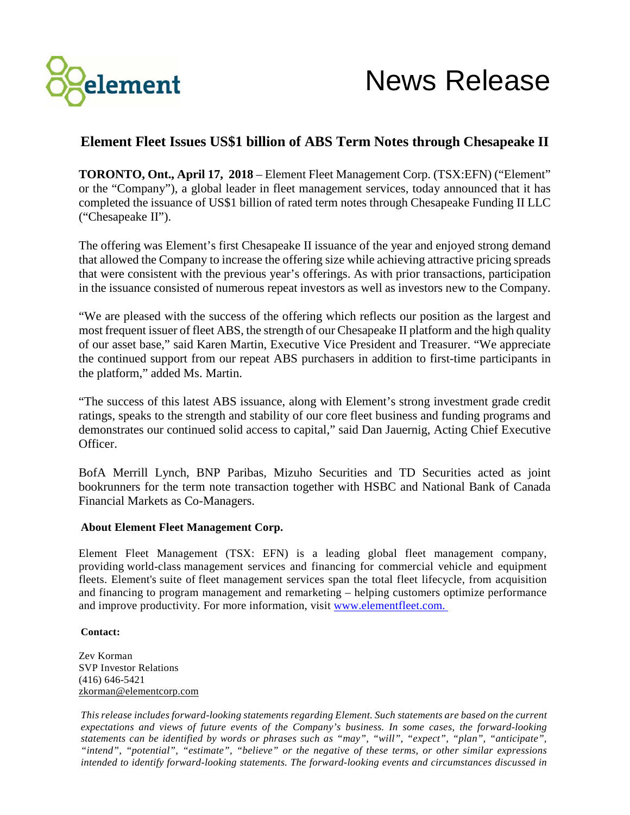

## **Element Fleet Issues US\$1 billion of ABS Term Notes through Chesapeake II**

**TORONTO, Ont., April 17, 2018** – Element Fleet Management Corp. (TSX:EFN) ("Element" or the "Company"), a global leader in fleet management services, today announced that it has completed the issuance of US\$1 billion of rated term notes through Chesapeake Funding II LLC ("Chesapeake II").

The offering was Element's first Chesapeake II issuance of the year and enjoyed strong demand that allowed the Company to increase the offering size while achieving attractive pricing spreads that were consistent with the previous year's offerings. As with prior transactions, participation in the issuance consisted of numerous repeat investors as well as investors new to the Company.

"We are pleased with the success of the offering which reflects our position as the largest and most frequent issuer of fleet ABS, the strength of our Chesapeake II platform and the high quality of our asset base," said Karen Martin, Executive Vice President and Treasurer. "We appreciate the continued support from our repeat ABS purchasers in addition to first-time participants in the platform," added Ms. Martin.

"The success of this latest ABS issuance, along with Element's strong investment grade credit ratings, speaks to the strength and stability of our core fleet business and funding programs and demonstrates our continued solid access to capital," said Dan Jauernig, Acting Chief Executive Officer.

BofA Merrill Lynch, BNP Paribas, Mizuho Securities and TD Securities acted as joint bookrunners for the term note transaction together with HSBC and National Bank of Canada Financial Markets as Co-Managers.

## **About Element Fleet Management Corp.**

Element Fleet Management (TSX: EFN) is a leading global fleet management company, providing world-class management services and financing for commercial vehicle and equipment fleets. Element's suite of fleet management services span the total fleet lifecycle, from acquisition and financing to program management and remarketing – helping customers optimize performance and improve productivity. For more information, visit www.elementfleet.com.

## **Contact:**

Zev Korman SVP Investor Relations (416) 646-5421 [zkorman@elementcorp.com](mailto:jsadler@elementcorp.com)

*This release includes forward-looking statements regarding Element. Such statements are based on the current expectations and views of future events of the Company's business. In some cases, the forward-looking statements can be identified by words or phrases such as "may", "will", "expect", "plan", "anticipate", "intend", "potential", "estimate", "believe" or the negative of these terms, or other similar expressions intended to identify forward-looking statements. The forward-looking events and circumstances discussed in*